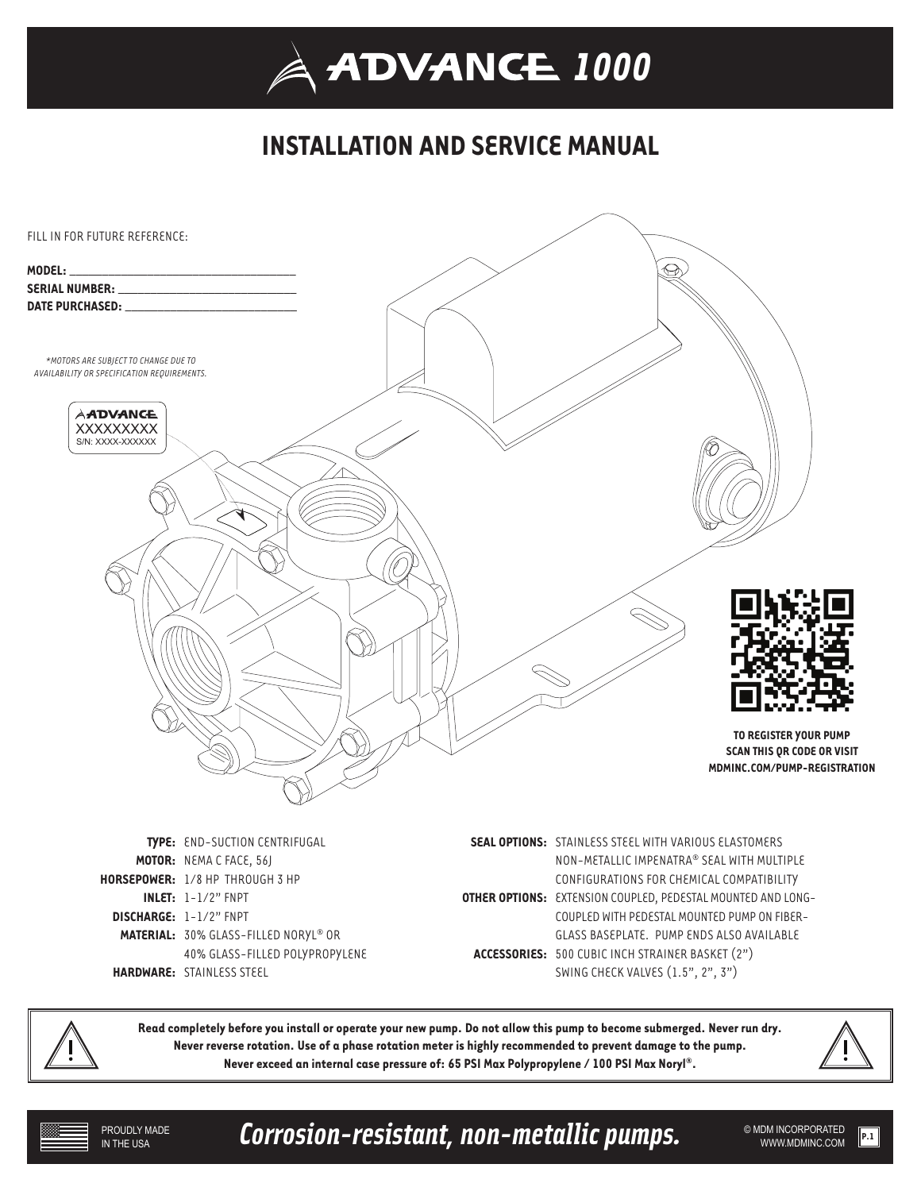## **INSTALLATION AND SERVICE MANUAL**



**Read completely before you install or operate your new pump. Do not allow this pump to become submerged. Never run dry. Never reverse rotation. Use of a phase rotation meter is highly recommended to prevent damage to the pump. Never exceed an internal case pressure of: 65 PSI Max Polypropylene / 100 PSI Max Noryl®.** 

Corrosion-resistant, non-metallic pumps. WEDMINCORPORATED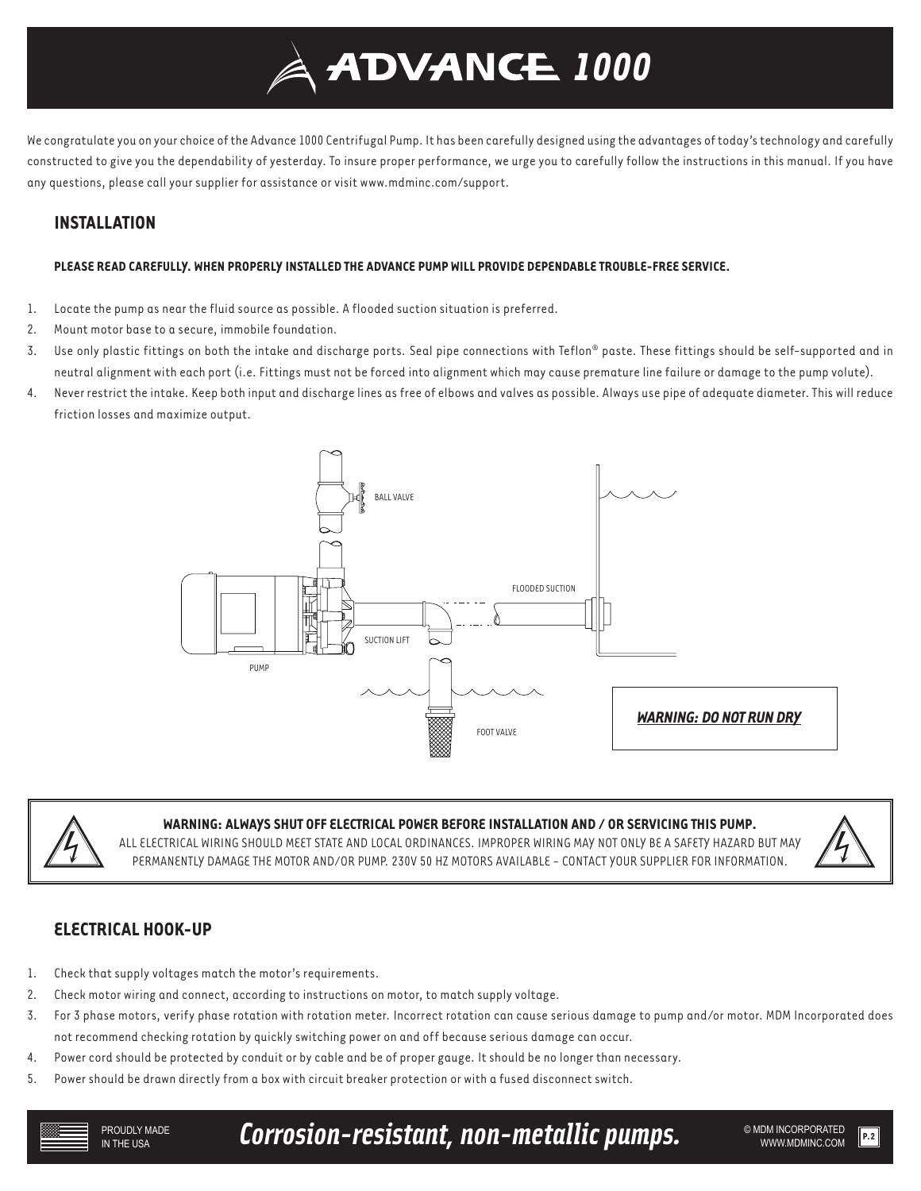

We congratulate you on your choice of the Advance 1000 Centrifugal Pump. It has been carefully designed using the advantages of today's technology and carefully constructed to give you the dependability of yesterday. To insure proper performance, we urge you to carefully follow the instructions in this manual. If you have any questions, please call your supplier for assistance or visit www.mdminc.com/support.

## **INSTALLATION**

#### **PLEASE READ CAREFULLY. WHEN PROPERLY INSTALLED THE ADVANCE PUMP WILL PROVIDE DEPENDABLE TROUBLE-FREE SERVICE.**

- 1. Locate the pump as near the fluid source as possible. A flooded suction situation is preferred.
- 2. Mount motor base to a secure, immobile foundation.
- 3. Use only plastic fittings on both the intake and discharge ports. Seal pipe connections with Teflon® paste. These fittings should be self-supported and in neutral alignment with each port (i.e. Fittings must not be forced into alignment which may cause premature line failure or damage to the pump volute).
- 4. Never restrict the intake. Keep both input and discharge lines as free of elbows and valves as possible. Always use pipe of adequate diameter. This will reduce friction losses and maximize output.





#### **WARNING: ALWAYS SHUT OFF ELECTRICAL POWER BEFORE INSTALLATION AND / OR SERVICING THIS PUMP.**

ALL ELECTRICAL WIRING SHOULD MEET STATE AND LOCAL ORDINANCES. IMPROPER WIRING MAY NOT ONLY BE A SAFETY HAZARD BUT MAY PERMANENTLY DAMAGE THE MOTOR AND/OR PUMP. 230V 50 HZ MOTORS AVAILABLE - CONTACT YOUR SUPPLIER FOR INFORMATION.



## **ELECTRICAL HOOK-UP**

- 1. Check that supply voltages match the motor's requirements.
- 2. Check motor wiring and connect, according to instructions on motor, to match supply voltage.
- 3. For 3 phase motors, verify phase rotation with rotation meter. Incorrect rotation can cause serious damage to pump and/or motor. MDM Incorporated does not recommend checking rotation by quickly switching power on and off because serious damage can occur.
- 4. Power cord should be protected by conduit or by cable and be of proper gauge. It should be no longer than necessary.
- 5. Power should be drawn directly from a box with circuit breaker protection or with a fused disconnect switch.

Corrosion-resistant, non-metallic pumps. WE ADM INCORPORATED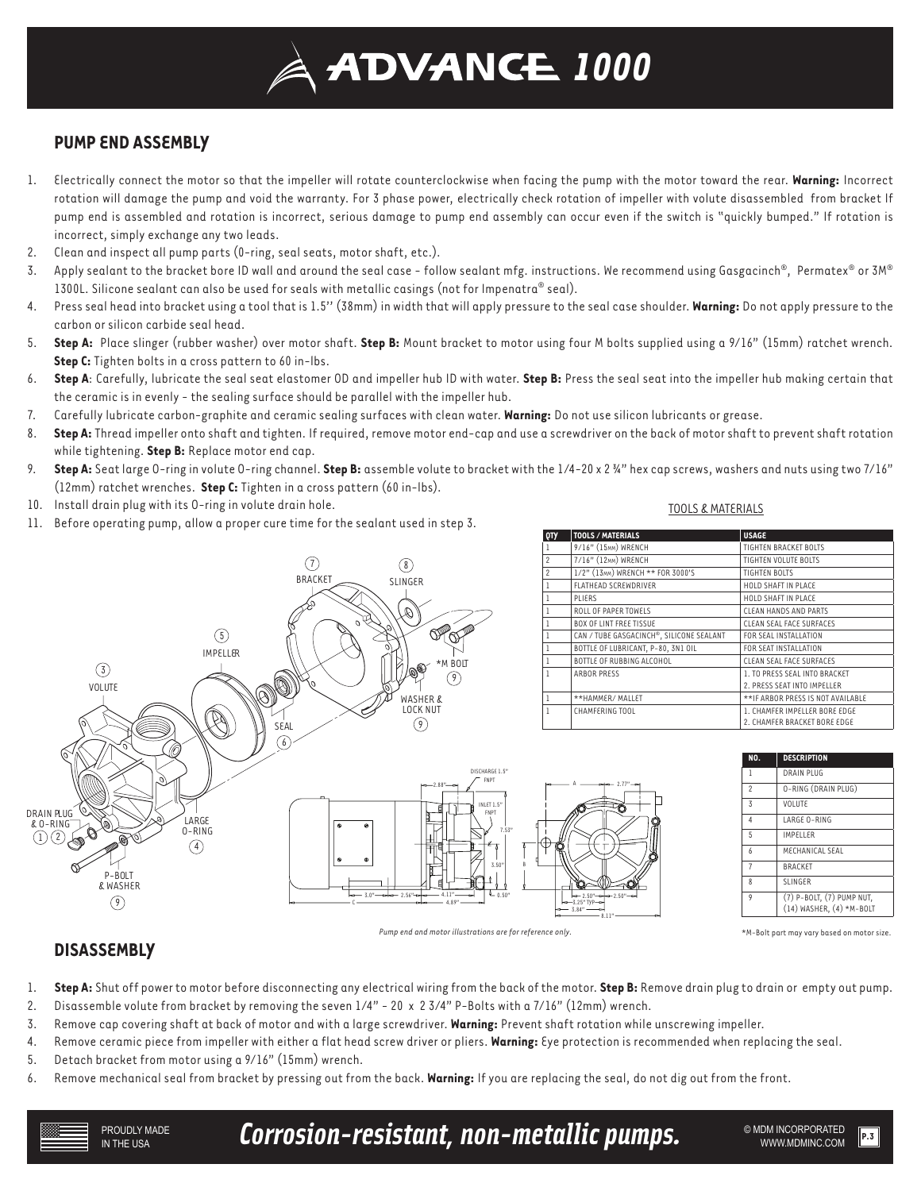# **ADVANCE 1000**

## **PUMP END ASSEMBLY**

- 1. Electrically connect the motor so that the impeller will rotate counterclockwise when facing the pump with the motor toward the rear. **Warning:** Incorrect rotation will damage the pump and void the warranty. For 3 phase power, electrically check rotation of impeller with volute disassembled from bracket If pump end is assembled and rotation is incorrect, serious damage to pump end assembly can occur even if the switch is "quickly bumped." If rotation is incorrect, simply exchange any two leads.
- 2. Clean and inspect all pump parts (0-ring, seal seats, motor shaft, etc.).
- 3. Apply sealant to the bracket bore ID wall and around the seal case follow sealant mfg. instructions. We recommend using Gasgacinch®, Permatex® or 3M® 1300L. Silicone sealant can also be used for seals with metallic casings (not for Impenatra® seal).
- 4. Press seal head into bracket using a tool that is 1.5'' (38mm) in width that will apply pressure to the seal case shoulder. **Warning:** Do not apply pressure to the carbon or silicon carbide seal head.
- 5. **Step A:** Place slinger (rubber washer) over motor shaft. **Step B:** Mount bracket to motor using four M bolts supplied using a 9/16" (15mm) ratchet wrench. **Step C:** Tighten bolts in a cross pattern to 60 in-lbs.
- 6. **Step A**: Carefully, lubricate the seal seat elastomer OD and impeller hub ID with water. **Step B:** Press the seal seat into the impeller hub making certain that the ceramic is in evenly - the sealing surface should be parallel with the impeller hub.
- 7. Carefully lubricate carbon-graphite and ceramic sealing surfaces with clean water. **Warning:** Do not use silicon lubricants or grease.
- 8. **Step A:** Thread impeller onto shaft and tighten. If required, remove motor end-cap and use a screwdriver on the back of motor shaft to prevent shaft rotation while tightening. **Step B:** Replace motor end cap.
- 9. **Step A:** Seat large O-ring in volute O-ring channel. **Step B:** assemble volute to bracket with the 1/4-20 x 2 ¾" hex cap screws, washers and nuts using two 7/16" (12mm) ratchet wrenches. **Step C:** Tighten in a cross pattern (60 in-lbs).
- 10. Install drain plug with its O-ring in volute drain hole.
- 11. Before operating pump, allow a proper cure time for the sealant used in step 3.

#### TOOLS & MATERIALS

**QTY TOOLS / MATERIALS USAGE**



*Pump end and motor illustrations are for reference only.*

| NO.                     | <b>DESCRIPTION</b>                                    |
|-------------------------|-------------------------------------------------------|
| 1                       | <b>DRAIN PLUG</b>                                     |
| $\mathfrak{p}$          | O-RING (DRAIN PLUG)                                   |
| 3                       | VOLUTE                                                |
| $\overline{4}$          | LARGE 0-RING                                          |
| 5                       | <b>IMPELLER</b>                                       |
| 6                       | MECHANICAL SEAL                                       |
| $\overline{7}$          | <b>BRACKET</b>                                        |
| $\mathsf{\overline{8}}$ | <b>SLINGER</b>                                        |
| 9                       | (7) P-BOLT, (7) PUMP NUT,<br>(14) WASHER, (4) *M-BOLT |

2. PRESS SEAT INTO IMPELLER

2. CHAMFER BRACKET BORE EDGE

\*M-Bolt part may vary based on motor size.

## **DISASSEMBLY**

- 1. **Step A:** Shut off power to motor before disconnecting any electrical wiring from the back of the motor. **Step B:** Remove drain plug to drain or empty out pump.
- 2. Disassemble volute from bracket by removing the seven 1/4" 20 x 2 3/4" P-Bolts with a 7/16" (12mm) wrench.
- 3. Remove cap covering shaft at back of motor and with a large screwdriver. **Warning:** Prevent shaft rotation while unscrewing impeller.
- 4. Remove ceramic piece from impeller with either a flat head screw driver or pliers. **Warning:** Eye protection is recommended when replacing the seal.
- 5. Detach bracket from motor using a 9/16" (15mm) wrench.
- 6. Remove mechanical seal from bracket by pressing out from the back. **Warning:** If you are replacing the seal, do not dig out from the front.